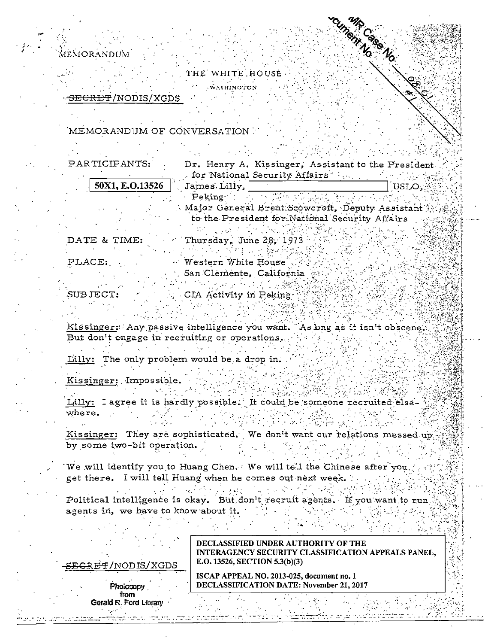MEMORANDUM

THE WHITE HOUSE **WASHINGTON** 

**IRCSSON** 

<del>SECRET</del>/NODIS/XGDS

MEMORANDUM OF CONVERSATION

PARTICIPANTS: Dr. Henry A. Kissinger, Assistant to the President. for National Security Affairs ... 50X1, E.O.13526 James Lilly, **I** TIST.O.  $\mathbf{Peking}$  . Major General Brent Scowcroft, Deputy Assistant to the President for National Security Affairs

Thursday, June 28, 1973 DATE & TIME: 经一项承兑 化乙酰氯化 计字数编译 Western White House PLACE: San Clemente, California 机控制 医异常性的 经公开票据 SUBJECT: CIA Activity in Peking-

Kissinger: Any passive intelligence you want. As bng as it isn't obscene. But don't engage in recruiting or operations. Lilly: The only problem would be a drop in.

Kissinger: Impossible.

Lilly: I agree it is hardly possible. It could be someone recruited else $where.$ 

Kissinger: They are sophisticated. We don't want our relations messed up by some two-bit operation.

 $1 - 7 - 1$ 

We will identify you to Huang Chen. We will tell the Chinese after you. get there. I will tell Huang when he comes out next week.

والمتواصل والمحاسبة والمرابط والمتعادل والمتواطن والمتعارف والمرابط والمرابط Political intelligence is okay. But don't recruit agents. If you want to run agents in, we have to know about it.

| SEGRET/NODIS/XGDS |
|-------------------|
|                   |

Photocopy from Gerald R. Ford Library

**DECLASSIFIED UNDER AUTHORITY OF THE** INTERAGENCY SECURITY CLASSIFICATION APPEALS PANEL. E.O. 13526, SECTION 5.3(b)(3)

ISCAP APPEAL NO. 2013-025, document no. 1 **DECLASSIFICATION DATE: November 21, 2017**